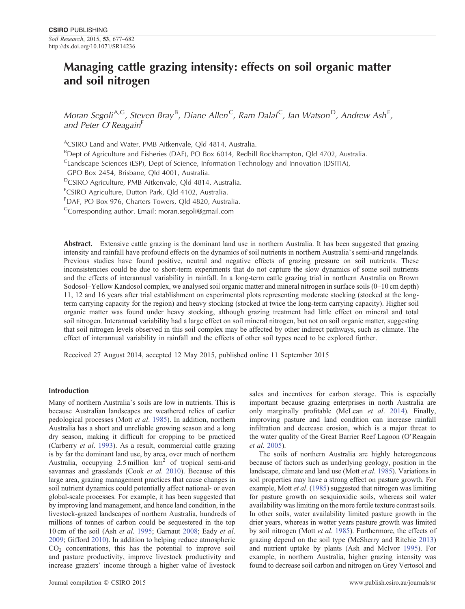# **Managing cattle grazing intensity: effects on soil organic matter and soil nitrogen**

*Moran Segoli<sup>A,G</sup>, Steven Bray<sup>B</sup>, Diane Allen<sup>C</sup>, Ram Dalal<sup>C</sup>, Ian Watson<sup>D</sup>, Andrew Ash<sup>E</sup>, and Peter O*'*Reagain*<sup>F</sup>

ACSIRO Land and Water, PMB Aitkenvale, Qld 4814, Australia.

<sup>B</sup>Dept of Agriculture and Fisheries (DAF), PO Box 6014, Redhill Rockhampton, Qld 4702, Australia.

 $C$ Landscape Sciences (ESP), Dept of Science, Information Technology and Innovation (DSITIA),

GPO Box 2454, Brisbane, Qld 4001, Australia.

<sup>D</sup>CSIRO Agriculture, PMB Aitkenvale, Qld 4814, Australia.

<sup>E</sup>CSIRO Agriculture, Dutton Park, Qld 4102, Australia.

F DAF, PO Box 976, Charters Towers, Qld 4820, Australia.

GCorresponding author. Email: [moran.segoli@gmail.com](mailto:moran.segoli@gmail.com)

**Abstract.** Extensive cattle grazing is the dominant land use in northern Australia. It has been suggested that grazing intensity and rainfall have profound effects on the dynamics of soil nutrients in northern Australia's semi-arid rangelands. Previous studies have found positive, neutral and negative effects of grazing pressure on soil nutrients. These inconsistencies could be due to short-term experiments that do not capture the slow dynamics of some soil nutrients and the effects of interannual variability in rainfall. In a long-term cattle grazing trial in northern Australia on Brown Sodosol–Yellow Kandosol complex, we analysed soil organic matter and mineral nitrogen in surface soils (0–10 cm depth) 11, 12 and 16 years after trial establishment on experimental plots representing moderate stocking (stocked at the longterm carrying capacity for the region) and heavy stocking (stocked at twice the long-term carrying capacity). Higher soil organic matter was found under heavy stocking, although grazing treatment had little effect on mineral and total soil nitrogen. Interannual variability had a large effect on soil mineral nitrogen, but not on soil organic matter, suggesting that soil nitrogen levels observed in this soil complex may be affected by other indirect pathways, such as climate. The effect of interannual variability in rainfall and the effects of other soil types need to be explored further.

Received 27 August 2014, accepted 12 May 2015, published online 11 September 2015

# **Introduction**

Many of northern Australia's soils are low in nutrients. This is because Australian landscapes are weathered relics of earlier pedological processes (Mott *et al*. [1985](#page-5-0)). In addition, northern Australia has a short and unreliable growing season and a long dry season, making it difficult for cropping to be practiced (Carberry *et al*. [1993\)](#page-4-0). As a result, commercial cattle grazing is by far the dominant land use, by area, over much of northern Australia, occupying 2.5 million km<sup>2</sup> of tropical semi-arid savannas and grasslands (Cook *et al*. [2010\)](#page-4-0). Because of this large area, grazing management practices that cause changes in soil nutrient dynamics could potentially affect national- or even global-scale processes. For example, it has been suggested that by improving land management, and hence land condition, in the livestock-grazed landscapes of northern Australia, hundreds of millions of tonnes of carbon could be sequestered in the top 10 cm of the soil (Ash *et al*. [1995;](#page-4-0) Garnaut [2008](#page-5-0); Eady *et al*. [2009](#page-5-0); Gifford [2010\)](#page-5-0). In addition to helping reduce atmospheric  $CO<sub>2</sub>$  concentrations, this has the potential to improve soil and pasture productivity, improve livestock productivity and increase graziers' income through a higher value of livestock

sales and incentives for carbon storage. This is especially important because grazing enterprises in north Australia are only marginally profitable (McLean *et al*. [2014](#page-5-0)). Finally, improving pasture and land condition can increase rainfall infiltration and decrease erosion, which is a major threat to the water quality of the Great Barrier Reef Lagoon (O'Reagain *et al*. [2005\)](#page-5-0).

The soils of northern Australia are highly heterogeneous because of factors such as underlying geology, position in the landscape, climate and land use (Mott *et al*. [1985](#page-5-0)). Variations in soil properties may have a strong effect on pasture growth. For example, Mott *et al*. ([1985\)](#page-5-0) suggested that nitrogen was limiting for pasture growth on sesquioxidic soils, whereas soil water availability was limiting on the more fertile texture contrast soils. In other soils, water availability limited pasture growth in the drier years, whereas in wetter years pasture growth was limited by soil nitrogen (Mott *et al*. [1985](#page-5-0)). Furthermore, the effects of grazing depend on the soil type (McSherry and Ritchie [2013](#page-5-0)) and nutrient uptake by plants (Ash and McIvor [1995](#page-4-0)). For example, in northern Australia, higher grazing intensity was found to decrease soil carbon and nitrogen on Grey Vertosol and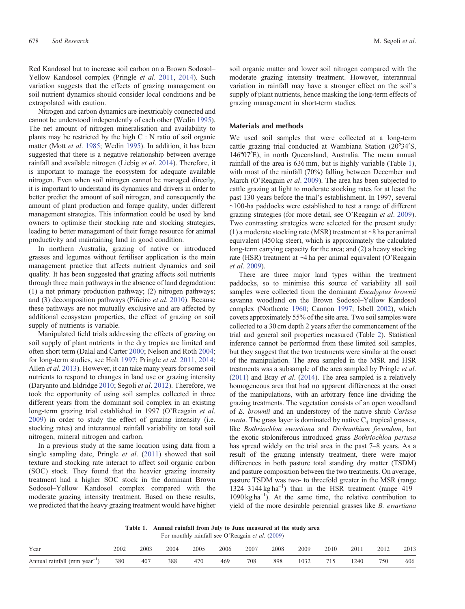<span id="page-1-0"></span>Red Kandosol but to increase soil carbon on a Brown Sodosol– Yellow Kandosol complex (Pringle *et al*. [2011](#page-5-0), [2014\)](#page-5-0). Such variation suggests that the effects of grazing management on soil nutrient dynamics should consider local conditions and be extrapolated with caution.

Nitrogen and carbon dynamics are inextricably connected and cannot be understood independently of each other (Wedin [1995\)](#page-5-0). The net amount of nitrogen mineralisation and availability to plants may be restricted by the high C : N ratio of soil organic matter (Mott *et al*. [1985](#page-5-0); Wedin [1995](#page-5-0)). In addition, it has been suggested that there is a negative relationship between average rainfall and available nitrogen (Liebig *et al*. [2014\)](#page-5-0). Therefore, it is important to manage the ecosystem for adequate available nitrogen. Even when soil nitrogen cannot be managed directly, it is important to understand its dynamics and drivers in order to better predict the amount of soil nitrogen, and consequently the amount of plant production and forage quality, under different management strategies. This information could be used by land owners to optimise their stocking rate and stocking strategies, leading to better management of their forage resource for animal productivity and maintaining land in good condition.

In northern Australia, grazing of native or introduced grasses and legumes without fertiliser application is the main management practice that affects nutrient dynamics and soil quality. It has been suggested that grazing affects soil nutrients through three main pathways in the absence of land degradation: (1) a net primary production pathway; (2) nitrogen pathways; and (3) decomposition pathways (Piñeiro *et al*. [2010\)](#page-5-0). Because these pathways are not mutually exclusive and are affected by additional ecosystem properties, the effect of grazing on soil supply of nutrients is variable.

Manipulated field trials addressing the effects of grazing on soil supply of plant nutrients in the dry tropics are limited and often short term (Dalal and Carter [2000](#page-5-0); Nelson and Roth [2004](#page-5-0); for long-term studies, see Holt [1997;](#page-5-0) Pringle *et al*. [2011](#page-5-0), [2014](#page-5-0); Allen *et al*. [2013\)](#page-4-0). However, it can take many years for some soil nutrients to respond to changes in land use or grazing intensity (Daryanto and Eldridge [2010;](#page-5-0) Segoli *et al*. [2012](#page-5-0)). Therefore, we took the opportunity of using soil samples collected in three different years from the dominant soil complex in an existing long-term grazing trial established in 1997 (O'Reagain *et al*. [2009\)](#page-5-0) in order to study the effect of grazing intensity (i.e. stocking rates) and interannual rainfall variability on total soil nitrogen, mineral nitrogen and carbon.

In a previous study at the same location using data from a single sampling date, Pringle *et al*. [\(2011](#page-5-0)) showed that soil texture and stocking rate interact to affect soil organic carbon (SOC) stock. They found that the heavier grazing intensity treatment had a higher SOC stock in the dominant Brown Sodosol–Yellow Kandosol complex compared with the moderate grazing intensity treatment. Based on these results, we predicted that the heavy grazing treatment would have higher soil organic matter and lower soil nitrogen compared with the moderate grazing intensity treatment. However, interannual variation in rainfall may have a stronger effect on the soil's supply of plant nutrients, hence masking the long-term effects of grazing management in short-term studies.

#### **Materials and methods**

We used soil samples that were collected at a long-term cattle grazing trial conducted at Wambiana Station (20°34'S, 146°07'E), in north Queensland, Australia. The mean annual rainfall of the area is 636 mm, but is highly variable (Table 1), with most of the rainfall (70%) falling between December and March (O'Reagain *et al*. [2009](#page-5-0)). The area has been subjected to cattle grazing at light to moderate stocking rates for at least the past 130 years before the trial's establishment. In 1997, several ~100-ha paddocks were established to test a range of different grazing strategies (for more detail, see O'Reagain *et al*. [2009\)](#page-5-0). Two contrasting strategies were selected for the present study: (1) a moderate stocking rate (MSR) treatment at  $\sim$ 8 ha per animal equivalent (450 kg steer), which is approximately the calculated long-term carrying capacity for the area; and (2) a heavy stocking rate (HSR) treatment at ~4 ha per animal equivalent (O'Reagain *et al*. [2009\)](#page-5-0).

There are three major land types within the treatment paddocks, so to minimise this source of variability all soil samples were collected from the dominant *Eucalyptus brownii* savanna woodland on the Brown Sodosol–Yellow Kandosol complex (Northcote [1960](#page-5-0); Cannon [1997;](#page-4-0) Isbell [2002\)](#page-5-0), which covers approximately 55% of the site area. Two soil samples were collected to a 30 cm depth 2 years after the commencement of the trial and general soil properties measured (Table [2](#page-2-0)). Statistical inference cannot be performed from these limited soil samples, but they suggest that the two treatments were similar at the onset of the manipulation. The area sampled in the MSR and HSR treatments was a subsample of the area sampled by Pringle *et al*. ([2011](#page-5-0)) and Bray *et al*. [\(2014](#page-4-0)). The area sampled is a relatively homogeneous area that had no apparent differences at the onset of the manipulations, with an arbitrary fence line dividing the grazing treatments. The vegetation consists of an open woodland of *E. brownii* and an understorey of the native shrub *Carissa*  $ovata$ . The grass layer is dominated by native  $C_4$  tropical grasses, like *Bothriochloa ewartiana* and *Dichanthium fecundum*, but the exotic stoloniferous introduced grass *Bothriochloa pertusa* has spread widely on the trial area in the past 7–8 years. As a result of the grazing intensity treatment, there were major differences in both pasture total standing dry matter (TSDM) and pasture composition between the two treatments. On average, pasture TSDM was two- to threefold greater in the MSR (range  $1324-3144$  kg ha<sup>-1</sup>) than in the HSR treatment (range 419– 1090 kg ha–<sup>1</sup> ). At the same time, the relative contribution to yield of the more desirable perennial grasses like *B. ewartiana*

**Table 1. Annual rainfall from July to June measured at the study area** For monthly rainfall see O'Reagain *et al*. [\(2009](#page-5-0))

| Year                                     | 2002 | 2003 | 2004 | 2005 | 2006 | 2007 | 2008 | 2009 | 2010 | 2011 | 2012 | 2013 |
|------------------------------------------|------|------|------|------|------|------|------|------|------|------|------|------|
| Annual rainfall (mm year <sup>-1</sup> ) | 380  | 407  | 388  | 470  | 469  | 708  | 898  | 1032 | 715  | .240 | 750  | 606  |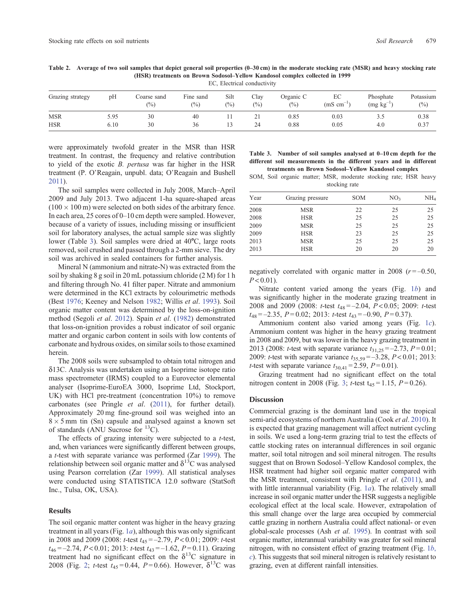# <span id="page-2-0"></span>**Table 2. Average of two soil samples that depict general soil properties (0–30 cm) in the moderate stocking rate (MSR) and heavy stocking rate (HSR) treatments on Brown Sodosol–Yellow Kandosol complex collected in 1999**

EC, Electrical conductivity

| Grazing strategy | pH   | Coarse sand<br>$\binom{0}{0}$ | $-1$<br>Fine sand<br>$\binom{0}{0}$ | Silt<br>(%) | Clay<br>(%) | Organic C<br>$\binom{0}{0}$ | EC<br>$(mS \text{ cm}^{-1})$ | Phosphate<br>$(mg kg^{-1})$ | Potassium<br>(9/0) |
|------------------|------|-------------------------------|-------------------------------------|-------------|-------------|-----------------------------|------------------------------|-----------------------------|--------------------|
| <b>MSR</b>       | 5.95 | 30                            | 40                                  |             | ∸ 1         | 0.85                        | 0.03                         | 3.3                         | 0.38               |
| <b>HSR</b>       | 6.10 | 30                            | 36                                  |             | 24          | 0.88                        | 0.05                         | 4.0                         | 0.37               |

were approximately twofold greater in the MSR than HSR treatment. In contrast, the frequency and relative contribution to yield of the exotic *B. pertusa* was far higher in the HSR treatment (P. O'Reagain, unpubl. data; O'Reagain and Bushell [2011\)](#page-5-0).

The soil samples were collected in July 2008, March–April 2009 and July 2013. Two adjacent 1-ha square-shaped areas  $(100 \times 100 \text{ m})$  were selected on both sides of the arbitrary fence. In each area, 25 cores of 0–10 cm depth were sampled. However, because of a variety of issues, including missing or insufficient soil for laboratory analyses, the actual sample size was slightly lower (Table 3). Soil samples were dried at 40<sup>o</sup>C, large roots removed, soil crushed and passed through a 2-mm sieve. The dry soil was archived in sealed containers for further analysis.

Mineral N (ammonium and nitrate-N) was extracted from the soil by shaking 8 g soil in 20 mL potassium chloride (2 M) for 1 h and filtering through No. 41 filter paper. Nitrate and ammonium were determined in the KCl extracts by colourimetric methods (Best [1976;](#page-4-0) Keeney and Nelson [1982;](#page-5-0) Willis *et al*. [1993](#page-5-0)). Soil organic matter content was determined by the loss-on-ignition method (Segoli *et al*. [2012](#page-5-0)). Spain *et al*. ([1982\)](#page-5-0) demonstrated that loss-on-ignition provides a robust indicator of soil organic matter and organic carbon content in soils with low contents of carbonate and hydrous oxides, on similar soils to those examined herein.

The 2008 soils were subsampled to obtain total nitrogen and  $\delta$ 13C. Analysis was undertaken using an Isoprime isotope ratio mass spectrometer (IRMS) coupled to a Eurovector elemental analyser (Isoprime-EuroEA 3000, Isoprime Ltd, Stockport, UK) with HCl pre-treatment (concentration 10%) to remove carbonates (see Pringle *et al*. ([2011\)](#page-5-0), for further detail). Approximately 20 mg fine-ground soil was weighed into an  $8 \times 5$  mm tin (Sn) capsule and analysed against a known set of standards (ANU Sucrose for 13C).

The effects of grazing intensity were subjected to a *t*-test, and, when variances were significantly different between groups, a *t*-test with separate variance was performed (Zar [1999](#page-5-0)). The relationship between soil organic matter and  $\delta^{13}$ C was analysed using Pearson correlation (Zar [1999\)](#page-5-0). All statistical analyses were conducted using STATISTICA 12.0 software (StatSoft Inc., Tulsa, OK, USA).

#### **Results**

The soil organic matter content was higher in the heavy grazing treatment in all years (Fig. [1](#page-3-0)*a*), although this was only significant in 2008 and 2009 (2008: *t*-test *t*<sup>45</sup> = –2.79, *P* < 0.01; 2009: *t*-test *t*<sup>46</sup> = –2.74, *P* < 0.01; 2013: *t*-test *t*<sup>43</sup> = –1.62, *P* = 0.11). Grazing treatment had no significant effect on the  $\delta^{13}$ C signature in [2](#page-3-0)008 (Fig. 2; *t*-test  $t_{45} = 0.44$ , *P* = 0.66). However,  $\delta^{13}$ C was

| Table 3. Number of soil samples analysed at 0–10 cm depth for the   |  |  |                                                     |  |  |  |
|---------------------------------------------------------------------|--|--|-----------------------------------------------------|--|--|--|
| different soil measurements in the different years and in different |  |  |                                                     |  |  |  |
|                                                                     |  |  | treatments on Brown Sodosol-Yellow Kandosol complex |  |  |  |

SOM, Soil organic matter; MSR, moderate stocking rate; HSR heavy stocking rate

| Year | Grazing pressure | <b>SOM</b> | NO <sub>3</sub> | NH <sub>4</sub> |
|------|------------------|------------|-----------------|-----------------|
| 2008 | <b>MSR</b>       | 22         | 25              | 25              |
| 2008 | <b>HSR</b>       | 25         | 25              | 25              |
| 2009 | <b>MSR</b>       | 25         | 25              | 25              |
| 2009 | <b>HSR</b>       | 23         | 25              | 25              |
| 2013 | <b>MSR</b>       | 25         | 25              | 25              |
| 2013 | <b>HSR</b>       | 20         | 20              | 20              |

negatively correlated with organic matter in 2008  $(r = -0.50,$  $P < 0.01$ ).

Nitrate content varied among the years (Fig. [1](#page-3-0)*b*) and was significantly higher in the moderate grazing treatment in 2008 and 2009 (2008: *t*-test *t*<sup>48</sup> = –2.04, *P* < 0.05; 2009: *t*-test *t*<sup>48</sup> = –2.35, *P* = 0.02; 2013: *t*-test *t*<sup>43</sup> = –0.90, *P* = 0.37).

Ammonium content also varied among years (Fig. [1](#page-3-0)*c*). Ammonium content was higher in the heavy grazing treatment in 2008 and 2009, but was lower in the heavy grazing treatment in 2013 (2008: *t*-test with separate variance  $t_{31,25} = -2.73$ ,  $P = 0.01$ ; 2009: *t*-test with separate variance *t*35,59= –3.28, *P*< 0.01; 2013: *t*-test with separate variance  $t_{30,41} = 2.59$ ,  $P = 0.01$ ).

Grazing treatment had no significant effect on the total nitrogen content in 2008 (Fig. [3;](#page-3-0) *t*-test  $t_{45} = 1.15$ ,  $P = 0.26$ ).

#### **Discussion**

Commercial grazing is the dominant land use in the tropical semi-arid ecosystems of northern Australia (Cook *et al*. [2010](#page-4-0)). It is expected that grazing management will affect nutrient cycling in soils. We used a long-term grazing trial to test the effects of cattle stocking rates on interannual differences in soil organic matter, soil total nitrogen and soil mineral nitrogen. The results suggest that on Brown Sodosol–Yellow Kandosol complex, the HSR treatment had higher soil organic matter compared with the MSR treatment, consistent with Pringle *et al*. [\(2011\)](#page-5-0), and with little interannual variability (Fig. [1](#page-3-0)*a*). The relatively small increase in soil organic matter under the HSR suggests a negligible ecological effect at the local scale. However, extrapolation of this small change over the large area occupied by commercial cattle grazing in northern Australia could affect national- or even global-scale processes (Ash *et al*. [1995](#page-4-0)). In contrast with soil organic matter, interannual variability was greater for soil mineral nitrogen, with no consistent effect of grazing treatment (Fig. 1*[b](#page-3-0)*, *[c](#page-3-0)*). This suggests that soil mineral nitrogen is relatively resistant to grazing, even at different rainfall intensities.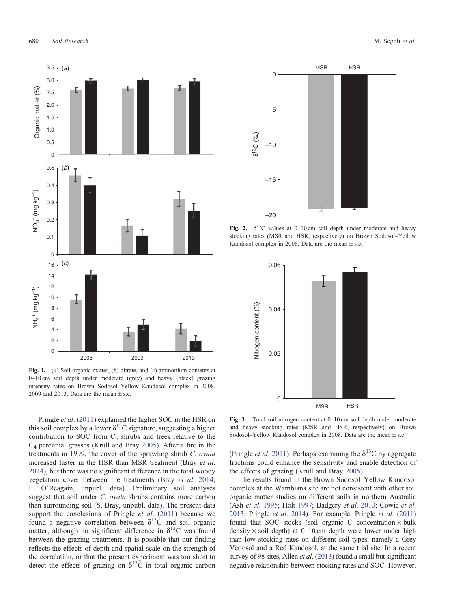<span id="page-3-0"></span>

**Fig. 1.** (*a*) Soil organic matter, (*b*) nitrate, and (*c*) ammonium contents at 0–10 cm soil depth under moderate (grey) and heavy (black) grazing intensity rates on Brown Sodosol–Yellow Kandosol complex in 2008, 2009 and 2013. Data are the mean  $\pm$  s.e.

Pringle *et al*. [\(2011](#page-5-0)) explained the higher SOC in the HSR on this soil complex by a lower  $\delta^{13}$ C signature, suggesting a higher contribution to SOC from  $C_3$  shrubs and trees relative to the C4 perennial grasses (Krull and Bray [2005](#page-5-0)). After a fire in the treatments in 1999, the cover of the sprawling shrub *C. ovata* increased faster in the HSR than MSR treatment (Bray *et al*. [2014\)](#page-4-0), but there was no significant difference in the total woody vegetation cover between the treatments (Bray *et al*. [2014](#page-4-0); P. O'Reagain, unpubl. data). Preliminary soil analyses suggest that soil under *C. ovata* shrubs contains more carbon than surrounding soil (S. Bray, unpubl. data). The present data support the conclusions of Pringle *et al*. ([2011\)](#page-5-0) because we found a negative correlation between  $\delta^{13}$ C and soil organic matter, although no significant difference in  $\delta^{13}$ C was found between the grazing treatments. It is possible that our finding reflects the effects of depth and spatial scale on the strength of the correlation, or that the present experiment was too short to detect the effects of grazing on  $\delta^{13}$ C in total organic carbon



**Fig. 2.**  $\delta^{13}$ C values at 0–10 cm soil depth under moderate and heavy stocking rates (MSR and HSR, respectively) on Brown Sodosol–Yellow Kandosol complex in 2008. Data are the mean  $\pm$  s.e.



**Fig. 3.** Total soil nitrogen content at 0–10 cm soil depth under moderate and heavy stocking rates (MSR and HSR, respectively) on Brown Sodosol–Yellow Kandosol complex in 2008. Data are the mean  $\pm$  s.e.

(Pringle *et al.* [2011](#page-5-0)). Perhaps examining the  $\delta^{13}$ C by aggregate fractions could enhance the sensitivity and enable detection of the effects of grazing (Krull and Bray [2005](#page-5-0)).

The results found in the Brown Sodosol–Yellow Kandosol complex at the Wambiana site are not consistent with other soil organic matter studies on different soils in northern Australia (Ash *et al*. [1995;](#page-4-0) Holt [1997;](#page-5-0) Badgery *et al*. [2013;](#page-4-0) Cowie *et al*. [2013](#page-5-0); Pringle *et al*. [2014](#page-5-0)). For example, Pringle *et al*. [\(2011\)](#page-5-0) found that SOC stocks (soil organic C concentration  $\times$  bulk density  $\times$  soil depth) at 0–10 cm depth were lower under high than low stocking rates on different soil types, namely a Grey Vertosol and a Red Kandosol, at the same trial site. In a recent survey of 98 sites, Allen *et al*. ([2013](#page-4-0)) found a small but significant negative relationship between stocking rates and SOC. However,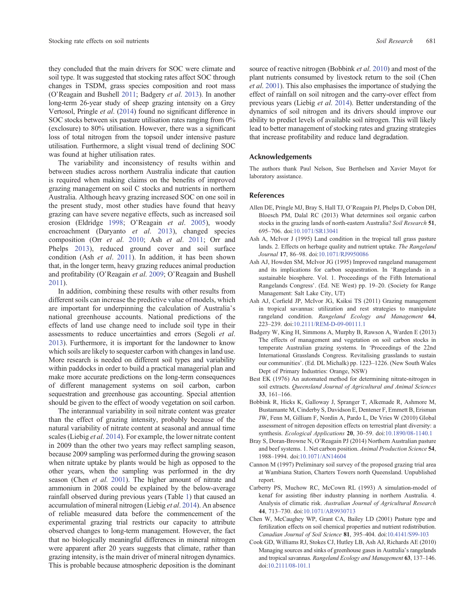<span id="page-4-0"></span>they concluded that the main drivers for SOC were climate and soil type. It was suggested that stocking rates affect SOC through changes in TSDM, grass species composition and root mass (O'Reagain and Bushell [2011](#page-5-0); Badgery *et al*. 2013). In another long-term 26-year study of sheep grazing intensity on a Grey Vertosol, Pringle *et al*. ([2014](#page-5-0)) found no significant difference in SOC stocks between six pasture utilisation rates ranging from 0% (exclosure) to 80% utilisation. However, there was a significant loss of total nitrogen from the topsoil under intensive pasture utilisation. Furthermore, a slight visual trend of declining SOC was found at higher utilisation rates.

The variability and inconsistency of results within and between studies across northern Australia indicate that caution is required when making claims on the benefits of improved grazing management on soil C stocks and nutrients in northern Australia. Although heavy grazing increased SOC on one soil in the present study, most other studies have found that heavy grazing can have severe negative effects, such as increased soil erosion (Eldridge [1998;](#page-5-0) O'Reagain *et al*. [2005\)](#page-5-0), woody encroachment (Daryanto *et al*. [2013](#page-5-0)), changed species composition (Orr *et al*. [2010;](#page-5-0) Ash *et al*. 2011; Orr and Phelps [2013\)](#page-5-0), reduced ground cover and soil surface condition (Ash *et al*. 2011). In addition, it has been shown that, in the longer term, heavy grazing reduces animal production and profitability (O'Reagain *et al*. [2009](#page-5-0); O'Reagain and Bushell [2011\)](#page-5-0).

In addition, combining these results with other results from different soils can increase the predictive value of models, which are important for underpinning the calculation of Australia's national greenhouse accounts. National predictions of the effects of land use change need to include soil type in their assessments to reduce uncertainties and errors (Segoli *et al*. [2013\)](#page-5-0). Furthermore, it is important for the landowner to know which soils are likely to sequester carbon with changes in land use. More research is needed on different soil types and variability within paddocks in order to build a practical managerial plan and make more accurate predictions on the long-term consequences of different management systems on soil carbon, carbon sequestration and greenhouse gas accounting. Special attention should be given to the effect of woody vegetation on soil carbon.

The interannual variability in soil nitrate content was greater than the effect of grazing intensity, probably because of the natural variability of nitrate content at seasonal and annual time scales (Liebig *et al*. [2014](#page-5-0)). For example, the lower nitrate content in 2009 than the other two years may reflect sampling season, because 2009 sampling was performed during the growing season when nitrate uptake by plants would be high as opposed to the other years, when the sampling was performed in the dry season (Chen *et al*. 2001). The higher amount of nitrate and ammonium in 2008 could be explained by the below-average rainfall observed during previous years (Table [1](#page-1-0)) that caused an accumulation of mineral nitrogen (Liebig *et al*. [2014\)](#page-5-0). An absence of reliable measured data before the commencement of the experimental grazing trial restricts our capacity to attribute observed changes to long-term management. However, the fact that no biologically meaningful differences in mineral nitrogen were apparent after 20 years suggests that climate, rather than grazing intensity, is the main driver of mineral nitrogen dynamics. This is probable because atmospheric deposition is the dominant source of reactive nitrogen (Bobbink *et al*. 2010) and most of the plant nutrients consumed by livestock return to the soil (Chen *et al*. 2001). This also emphasises the importance of studying the effect of rainfall on soil nitrogen and the carry-over effect from previous years (Liebig *et al*. [2014](#page-5-0)). Better understanding of the dynamics of soil nitrogen and its drivers should improve our ability to predict levels of available soil nitrogen. This will likely lead to better management of stocking rates and grazing strategies that increase profitability and reduce land degradation.

## **Acknowledgements**

The authors thank Paul Nelson, Sue Berthelsen and Xavier Mayot for laboratory assistance.

## **References**

- Allen DE, Pringle MJ, Bray S, Hall TJ, O'Reagain PJ, Phelps D, Cobon DH, Bloesch PM, Dalal RC (2013) What determines soil organic carbon stocks in the grazing lands of north-eastern Australia? *Soil Research* **51**, 695–706. doi[:10.1071/SR13041](dx.doi.org/10.1071/SR13041)
- Ash A, McIvor J (1995) Land condition in the tropical tall grass pasture lands. 2. Effects on herbage quality and nutrient uptake. *The Rangeland Journal* **17**, 86–98. doi:[10.1071/RJ9950086](dx.doi.org/10.1071/RJ9950086)
- Ash AJ, Howden SM, McIvor JG (1995) Improved rangeland management and its implications for carbon sequestration. In 'Rangelands in a sustainable biosphere. Vol. 1. Proceedings of the Fifth International Rangelands Congress'. (Ed. NE West) pp. 19–20. (Society for Range Management: Salt Lake City, UT)
- Ash AJ, Corfield JP, McIvor JG, Ksiksi TS (2011) Grazing management in tropical savannas: utilization and rest strategies to manipulate rangeland condition. *Rangeland Ecology and Management* **64**, 223–239. doi[:10.2111/REM-D-09-00111.1](dx.doi.org/10.2111/REM-D-09-00111.1)
- Badgery W, King H, Simmons A, Murphy B, Rawson A, Warden E (2013) The effects of management and vegetation on soil carbon stocks in temperate Australian grazing systems. In 'Proceedings of the 22nd International Grasslands Congress. Revitalising grasslands to sustain our communities'. (Ed. DL Michalk) pp. 1223–1226. (New South Wales Dept of Primary Industries: Orange, NSW)
- Best EK (1976) An automated method for determining nitrate-nitrogen in soil extracts. *Queensland Journal of Agricultural and Animal Sciences* **33**, 161–166.
- Bobbink R, Hicks K, Galloway J, Spranger T, Alkemade R, Ashmore M, Bustamante M, Cinderby S, Davidson E, Dentener F, Emmett B, Erisman JW, Fenn M, Gilliam F, Nordin A, Pardo L, De Vries W (2010) Global assessment of nitrogen deposition effects on terrestrial plant diversity: a synthesis. *Ecological Applications* **20**, 30–59. doi[:10.1890/08-1140.1](dx.doi.org/10.1890/08-1140.1)
- Bray S, Doran-Browne N, O'Reagain PJ (2014) Northern Australian pasture and beef systems. 1. Net carbon position. *Animal Production Science* **54**, 1988–1994. doi[:10.1071/AN14604](dx.doi.org/10.1071/AN14604)
- Cannon M (1997) Preliminary soil survey of the proposed grazing trial area at Wambiana Station, Charters Towers north Queensland. Unpublished report.
- Carberry PS, Muchow RC, McCown RL (1993) A simulation-model of kenaf for assisting fiber industry planning in northern Australia. 4. Analysis of climatic risk. *Australian Journal of Agricultural Research* **44**, 713–730. doi:[10.1071/AR9930713](dx.doi.org/10.1071/AR9930713)
- Chen W, McCaughey WP, Grant CA, Bailey LD (2001) Pasture type and fertilization effects on soil chemical properties and nutrient redistribution. *Canadian Journal of Soil Science* **81**, 395–404. doi[:10.4141/S99-103](dx.doi.org/10.4141/S99-103)
- Cook GD, Williams RJ, Stokes CJ, Hutley LB, Ash AJ, Richards AE (2010) Managing sources and sinks of greenhouse gases in Australia's rangelands and tropical savannas. *Rangeland Ecology and Management* **63**, 137–146. doi[:10.2111/08-101.1](dx.doi.org/10.2111/08-101.1)